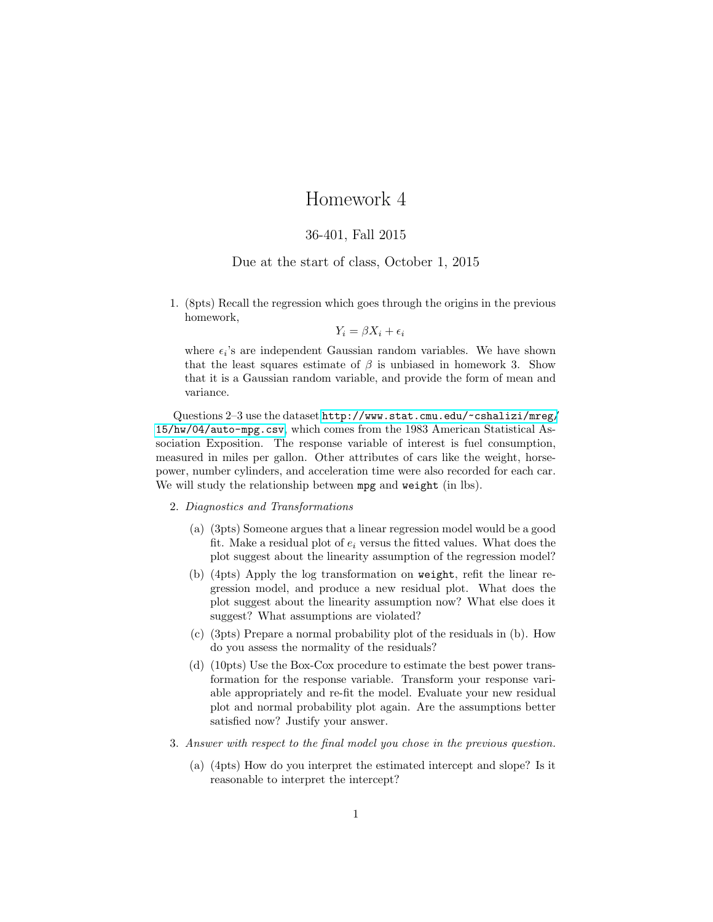## Homework 4

## 36-401, Fall 2015

## Due at the start of class, October 1, 2015

1. (8pts) Recall the regression which goes through the origins in the previous homework,

$$
Y_i = \beta X_i + \epsilon_i
$$

where  $\epsilon_i$ 's are independent Gaussian random variables. We have shown that the least squares estimate of  $\beta$  is unbiased in homework 3. Show that it is a Gaussian random variable, and provide the form of mean and variance.

Questions 2–3 use the dataset [http://www.stat.cmu.edu/~cshalizi/mreg/](http://www.stat.cmu.edu/~cshalizi/mreg/15/hw/04/auto-mpg.csv) [15/hw/04/auto-mpg.csv](http://www.stat.cmu.edu/~cshalizi/mreg/15/hw/04/auto-mpg.csv), which comes from the 1983 American Statistical Association Exposition. The response variable of interest is fuel consumption, measured in miles per gallon. Other attributes of cars like the weight, horsepower, number cylinders, and acceleration time were also recorded for each car. We will study the relationship between mpg and weight (in lbs).

## 2. Diagnostics and Transformations

- (a) (3pts) Someone argues that a linear regression model would be a good fit. Make a residual plot of  $e_i$  versus the fitted values. What does the plot suggest about the linearity assumption of the regression model?
- (b) (4pts) Apply the log transformation on weight, refit the linear regression model, and produce a new residual plot. What does the plot suggest about the linearity assumption now? What else does it suggest? What assumptions are violated?
- (c) (3pts) Prepare a normal probability plot of the residuals in (b). How do you assess the normality of the residuals?
- (d) (10pts) Use the Box-Cox procedure to estimate the best power transformation for the response variable. Transform your response variable appropriately and re-fit the model. Evaluate your new residual plot and normal probability plot again. Are the assumptions better satisfied now? Justify your answer.
- 3. Answer with respect to the final model you chose in the previous question.
	- (a) (4pts) How do you interpret the estimated intercept and slope? Is it reasonable to interpret the intercept?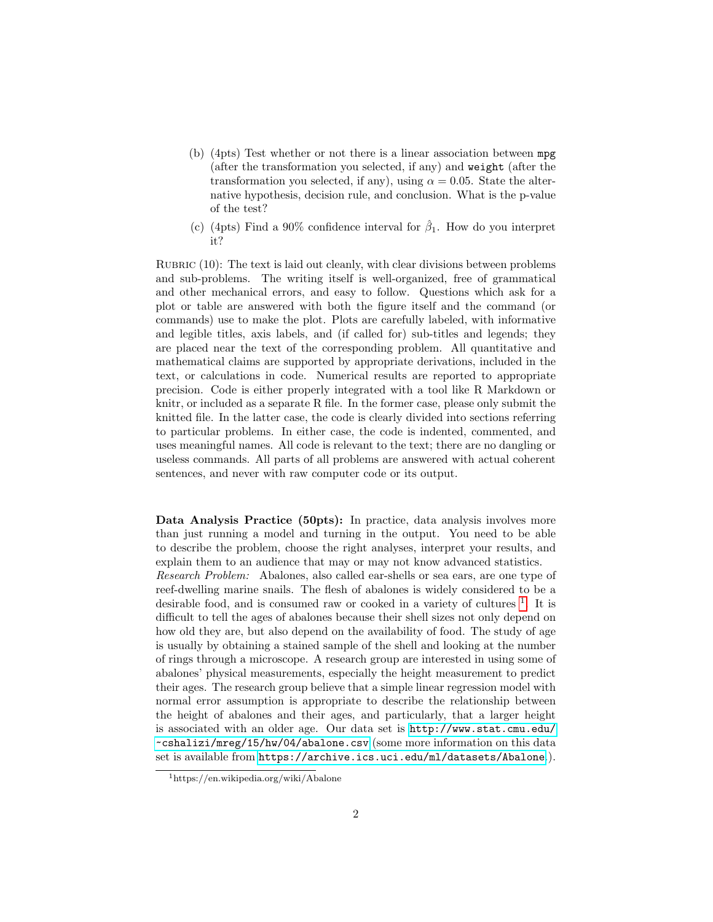- (b) (4pts) Test whether or not there is a linear association between mpg (after the transformation you selected, if any) and weight (after the transformation you selected, if any), using  $\alpha = 0.05$ . State the alternative hypothesis, decision rule, and conclusion. What is the p-value of the test?
- (c) (4pts) Find a 90% confidence interval for  $\hat{\beta}_1$ . How do you interpret it?

RUBRIC  $(10)$ : The text is laid out cleanly, with clear divisions between problems and sub-problems. The writing itself is well-organized, free of grammatical and other mechanical errors, and easy to follow. Questions which ask for a plot or table are answered with both the figure itself and the command (or commands) use to make the plot. Plots are carefully labeled, with informative and legible titles, axis labels, and (if called for) sub-titles and legends; they are placed near the text of the corresponding problem. All quantitative and mathematical claims are supported by appropriate derivations, included in the text, or calculations in code. Numerical results are reported to appropriate precision. Code is either properly integrated with a tool like R Markdown or knitr, or included as a separate R file. In the former case, please only submit the knitted file. In the latter case, the code is clearly divided into sections referring to particular problems. In either case, the code is indented, commented, and uses meaningful names. All code is relevant to the text; there are no dangling or useless commands. All parts of all problems are answered with actual coherent sentences, and never with raw computer code or its output.

Data Analysis Practice (50pts): In practice, data analysis involves more than just running a model and turning in the output. You need to be able to describe the problem, choose the right analyses, interpret your results, and explain them to an audience that may or may not know advanced statistics. Research Problem: Abalones, also called ear-shells or sea ears, are one type of reef-dwelling marine snails. The flesh of abalones is widely considered to be a desirable food, and is consumed raw or cooked in a variety of cultures <sup>[1](#page-1-0)</sup>. It is difficult to tell the ages of abalones because their shell sizes not only depend on how old they are, but also depend on the availability of food. The study of age is usually by obtaining a stained sample of the shell and looking at the number of rings through a microscope. A research group are interested in using some of abalones' physical measurements, especially the height measurement to predict their ages. The research group believe that a simple linear regression model with normal error assumption is appropriate to describe the relationship between the height of abalones and their ages, and particularly, that a larger height is associated with an older age. Our data set is [http://www.stat.cmu.edu/](http://www.stat.cmu.edu/~cshalizi/mreg/15/hw/04/abalone.csv) [~cshalizi/mreg/15/hw/04/abalone.csv](http://www.stat.cmu.edu/~cshalizi/mreg/15/hw/04/abalone.csv) (some more information on this data set is available from <https://archive.ics.uci.edu/ml/datasets/Abalone>.).

<span id="page-1-0"></span><sup>1</sup>https://en.wikipedia.org/wiki/Abalone